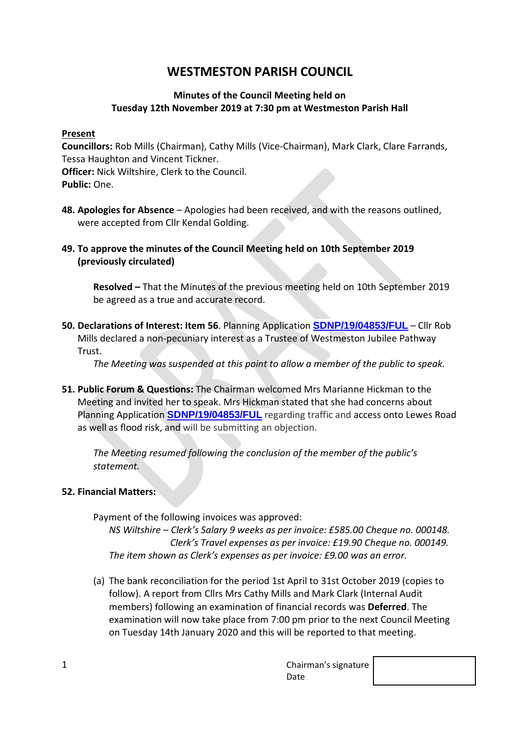# **WESTMESTON PARISH COUNCIL**

# **Minutes of the Council Meeting held on Tuesday 12th November 2019 at 7:30 pm at Westmeston Parish Hall**

## **Present**

**Councillors:** Rob Mills (Chairman), Cathy Mills (Vice-Chairman), Mark Clark, Clare Farrands, Tessa Haughton and Vincent Tickner. **Officer:** Nick Wiltshire, Clerk to the Council. **Public:** One.

- **48. Apologies for Absence**  Apologies had been received, and with the reasons outlined, were accepted from Cllr Kendal Golding.
- **49. To approve the minutes of the Council Meeting held on 10th September 2019 (previously circulated)**

**Resolved –** That the Minutes of the previous meeting held on 10th September 2019 be agreed as a true and accurate record.

**50. Declarations of Interest: Item 56**. Planning Application **[SDNP/19/04853/FUL](https://planningpublicaccess.southdowns.gov.uk/online-applications/applicationDetails.do?activeTab=documents&keyVal=PYZVP1TUHXE00)** – Cllr Rob Mills declared a non-pecuniary interest as a Trustee of Westmeston Jubilee Pathway **Trust** 

*The Meeting was suspended at this point to allow a member of the public to speak.*

**51. Public Forum & Questions:** The Chairman welcomed Mrs Marianne Hickman to the Meeting and invited her to speak. Mrs Hickman stated that she had concerns about Planning Application **[SDNP/19/04853/FUL](https://planningpublicaccess.southdowns.gov.uk/online-applications/applicationDetails.do?activeTab=documents&keyVal=PYZVP1TUHXE00)** regarding traffic and access onto Lewes Road as well as flood risk, and will be submitting an objection.

*The Meeting resumed following the conclusion of the member of the public's statement.*

# **52. Financial Matters:**

Payment of the following invoices was approved:

*NS Wiltshire – Clerk's Salary 9 weeks as per invoice: £585.00 Cheque no. 000148. Clerk's Travel expenses as per invoice: £19.90 Cheque no. 000149. The item shown as Clerk's expenses as per invoice: £9.00 was an error.*

(a) The bank reconciliation for the period 1st April to 31st October 2019 (copies to follow). A report from Cllrs Mrs Cathy Mills and Mark Clark (Internal Audit members) following an examination of financial records was **Deferred**. The examination will now take place from 7:00 pm prior to the next Council Meeting on Tuesday 14th January 2020 and this will be reported to that meeting.

1 Chairman's signature Date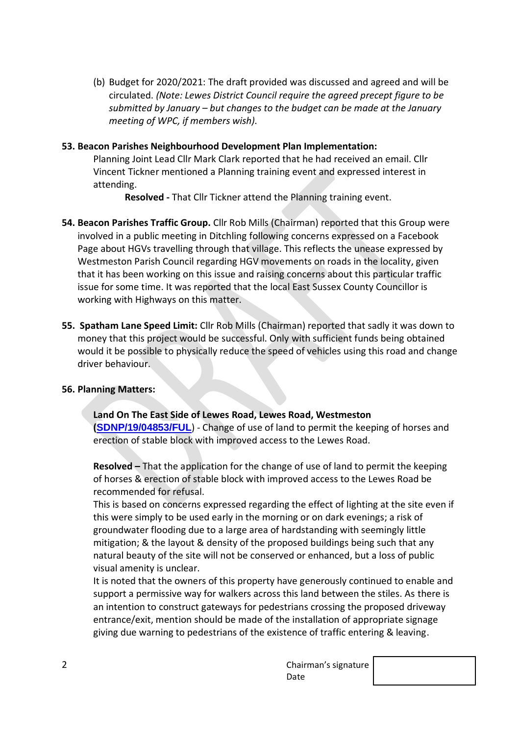(b) Budget for 2020/2021: The draft provided was discussed and agreed and will be circulated. *(Note: Lewes District Council require the agreed precept figure to be submitted by January – but changes to the budget can be made at the January meeting of WPC, if members wish).*

## **53. Beacon Parishes Neighbourhood Development Plan Implementation:**

Planning Joint Lead Cllr Mark Clark reported that he had received an email. Cllr Vincent Tickner mentioned a Planning training event and expressed interest in attending.

**Resolved -** That Cllr Tickner attend the Planning training event.

- **54. Beacon Parishes Traffic Group.** Cllr Rob Mills (Chairman) reported that this Group were involved in a public meeting in Ditchling following concerns expressed on a Facebook Page about HGVs travelling through that village. This reflects the unease expressed by Westmeston Parish Council regarding HGV movements on roads in the locality, given that it has been working on this issue and raising concerns about this particular traffic issue for some time. It was reported that the local East Sussex County Councillor is working with Highways on this matter.
- **55. Spatham Lane Speed Limit:** Cllr Rob Mills (Chairman) reported that sadly it was down to money that this project would be successful. Only with sufficient funds being obtained would it be possible to physically reduce the speed of vehicles using this road and change driver behaviour.

## **56. Planning Matters:**

**Land On The East Side of Lewes Road, Lewes Road, Westmeston ([SDNP/19/04853/FUL](https://planningpublicaccess.southdowns.gov.uk/online-applications/applicationDetails.do?activeTab=documents&keyVal=PYZVP1TUHXE00)**) - Change of use of land to permit the keeping of horses and erection of stable block with improved access to the Lewes Road.

**Resolved –** That the application for the change of use of land to permit the keeping of horses & erection of stable block with improved access to the Lewes Road be recommended for refusal.

This is based on concerns expressed regarding the effect of lighting at the site even if this were simply to be used early in the morning or on dark evenings; a risk of groundwater flooding due to a large area of hardstanding with seemingly little mitigation; & the layout & density of the proposed buildings being such that any natural beauty of the site will not be conserved or enhanced, but a loss of public visual amenity is unclear.

It is noted that the owners of this property have generously continued to enable and support a permissive way for walkers across this land between the stiles. As there is an intention to construct gateways for pedestrians crossing the proposed driveway entrance/exit, mention should be made of the installation of appropriate signage giving due warning to pedestrians of the existence of traffic entering & leaving.